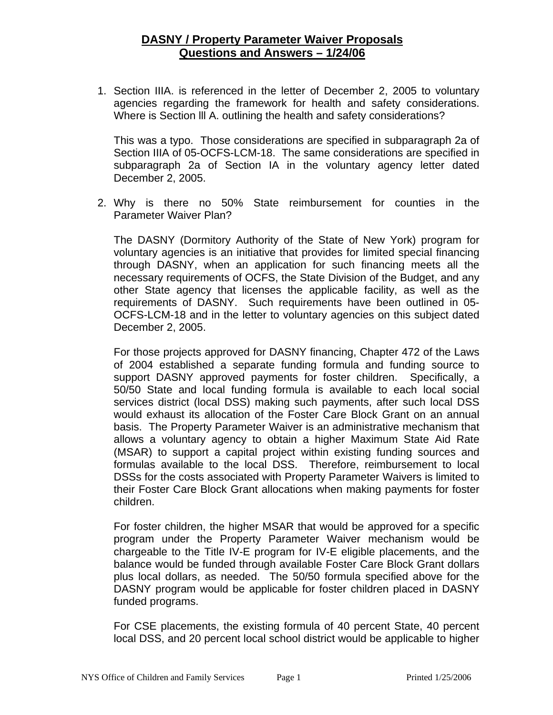1. Section IIIA. is referenced in the letter of December 2, 2005 to voluntary agencies regarding the framework for health and safety considerations. Where is Section lll A. outlining the health and safety considerations?

This was a typo. Those considerations are specified in subparagraph 2a of Section IIIA of 05-OCFS-LCM-18. The same considerations are specified in subparagraph 2a of Section IA in the voluntary agency letter dated December 2, 2005.

2. Why is there no 50% State reimbursement for counties in the Parameter Waiver Plan?

The DASNY (Dormitory Authority of the State of New York) program for voluntary agencies is an initiative that provides for limited special financing through DASNY, when an application for such financing meets all the necessary requirements of OCFS, the State Division of the Budget, and any other State agency that licenses the applicable facility, as well as the requirements of DASNY. Such requirements have been outlined in 05- OCFS-LCM-18 and in the letter to voluntary agencies on this subject dated December 2, 2005.

For those projects approved for DASNY financing, Chapter 472 of the Laws of 2004 established a separate funding formula and funding source to support DASNY approved payments for foster children. Specifically, a 50/50 State and local funding formula is available to each local social services district (local DSS) making such payments, after such local DSS would exhaust its allocation of the Foster Care Block Grant on an annual basis. The Property Parameter Waiver is an administrative mechanism that allows a voluntary agency to obtain a higher Maximum State Aid Rate (MSAR) to support a capital project within existing funding sources and formulas available to the local DSS. Therefore, reimbursement to local DSSs for the costs associated with Property Parameter Waivers is limited to their Foster Care Block Grant allocations when making payments for foster children.

For foster children, the higher MSAR that would be approved for a specific program under the Property Parameter Waiver mechanism would be chargeable to the Title IV-E program for IV-E eligible placements, and the balance would be funded through available Foster Care Block Grant dollars plus local dollars, as needed. The 50/50 formula specified above for the DASNY program would be applicable for foster children placed in DASNY funded programs.

For CSE placements, the existing formula of 40 percent State, 40 percent local DSS, and 20 percent local school district would be applicable to higher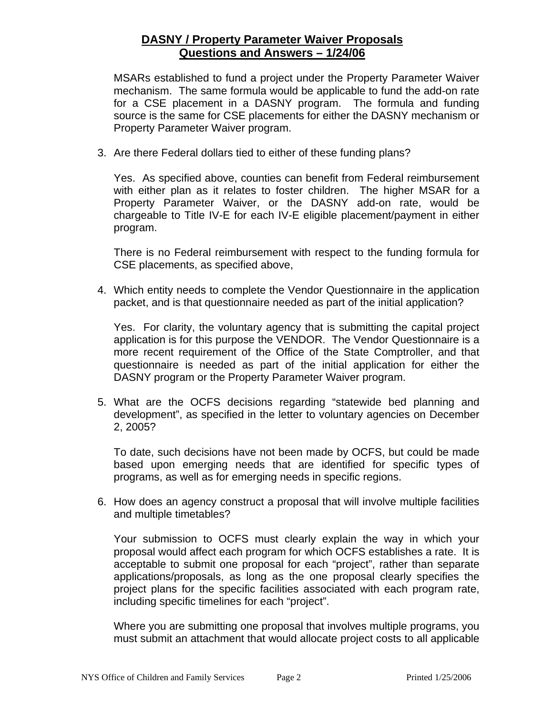MSARs established to fund a project under the Property Parameter Waiver mechanism. The same formula would be applicable to fund the add-on rate for a CSE placement in a DASNY program. The formula and funding source is the same for CSE placements for either the DASNY mechanism or Property Parameter Waiver program.

3. Are there Federal dollars tied to either of these funding plans?

Yes. As specified above, counties can benefit from Federal reimbursement with either plan as it relates to foster children. The higher MSAR for a Property Parameter Waiver, or the DASNY add-on rate, would be chargeable to Title IV-E for each IV-E eligible placement/payment in either program.

There is no Federal reimbursement with respect to the funding formula for CSE placements, as specified above,

4. Which entity needs to complete the Vendor Questionnaire in the application packet, and is that questionnaire needed as part of the initial application?

Yes. For clarity, the voluntary agency that is submitting the capital project application is for this purpose the VENDOR. The Vendor Questionnaire is a more recent requirement of the Office of the State Comptroller, and that questionnaire is needed as part of the initial application for either the DASNY program or the Property Parameter Waiver program.

5. What are the OCFS decisions regarding "statewide bed planning and development", as specified in the letter to voluntary agencies on December 2, 2005?

To date, such decisions have not been made by OCFS, but could be made based upon emerging needs that are identified for specific types of programs, as well as for emerging needs in specific regions.

6. How does an agency construct a proposal that will involve multiple facilities and multiple timetables?

Your submission to OCFS must clearly explain the way in which your proposal would affect each program for which OCFS establishes a rate. It is acceptable to submit one proposal for each "project", rather than separate applications/proposals, as long as the one proposal clearly specifies the project plans for the specific facilities associated with each program rate, including specific timelines for each "project".

Where you are submitting one proposal that involves multiple programs, you must submit an attachment that would allocate project costs to all applicable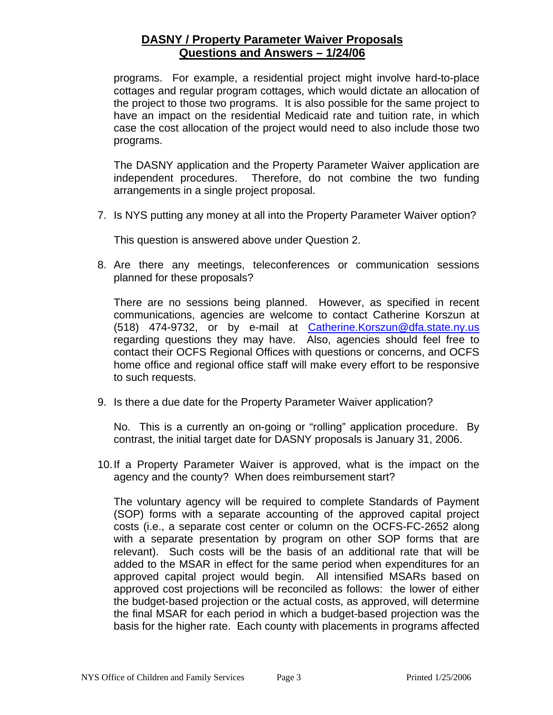programs. For example, a residential project might involve hard-to-place cottages and regular program cottages, which would dictate an allocation of the project to those two programs. It is also possible for the same project to have an impact on the residential Medicaid rate and tuition rate, in which case the cost allocation of the project would need to also include those two programs.

The DASNY application and the Property Parameter Waiver application are independent procedures. Therefore, do not combine the two funding arrangements in a single project proposal.

7. Is NYS putting any money at all into the Property Parameter Waiver option?

This question is answered above under Question 2.

8. Are there any meetings, teleconferences or communication sessions planned for these proposals?

There are no sessions being planned. However, as specified in recent communications, agencies are welcome to contact Catherine Korszun at (518) 474-9732, or by e-mail at [Catherine.Korszun@dfa.state.ny.us](mailto:Catherine.Korszun@dfa.state.ny.us) regarding questions they may have. Also, agencies should feel free to contact their OCFS Regional Offices with questions or concerns, and OCFS home office and regional office staff will make every effort to be responsive to such requests.

9. Is there a due date for the Property Parameter Waiver application?

No. This is a currently an on-going or "rolling" application procedure. By contrast, the initial target date for DASNY proposals is January 31, 2006.

10. If a Property Parameter Waiver is approved, what is the impact on the agency and the county? When does reimbursement start?

The voluntary agency will be required to complete Standards of Payment (SOP) forms with a separate accounting of the approved capital project costs (i.e., a separate cost center or column on the OCFS-FC-2652 along with a separate presentation by program on other SOP forms that are relevant). Such costs will be the basis of an additional rate that will be added to the MSAR in effect for the same period when expenditures for an approved capital project would begin. All intensified MSARs based on approved cost projections will be reconciled as follows: the lower of either the budget-based projection or the actual costs, as approved, will determine the final MSAR for each period in which a budget-based projection was the basis for the higher rate. Each county with placements in programs affected